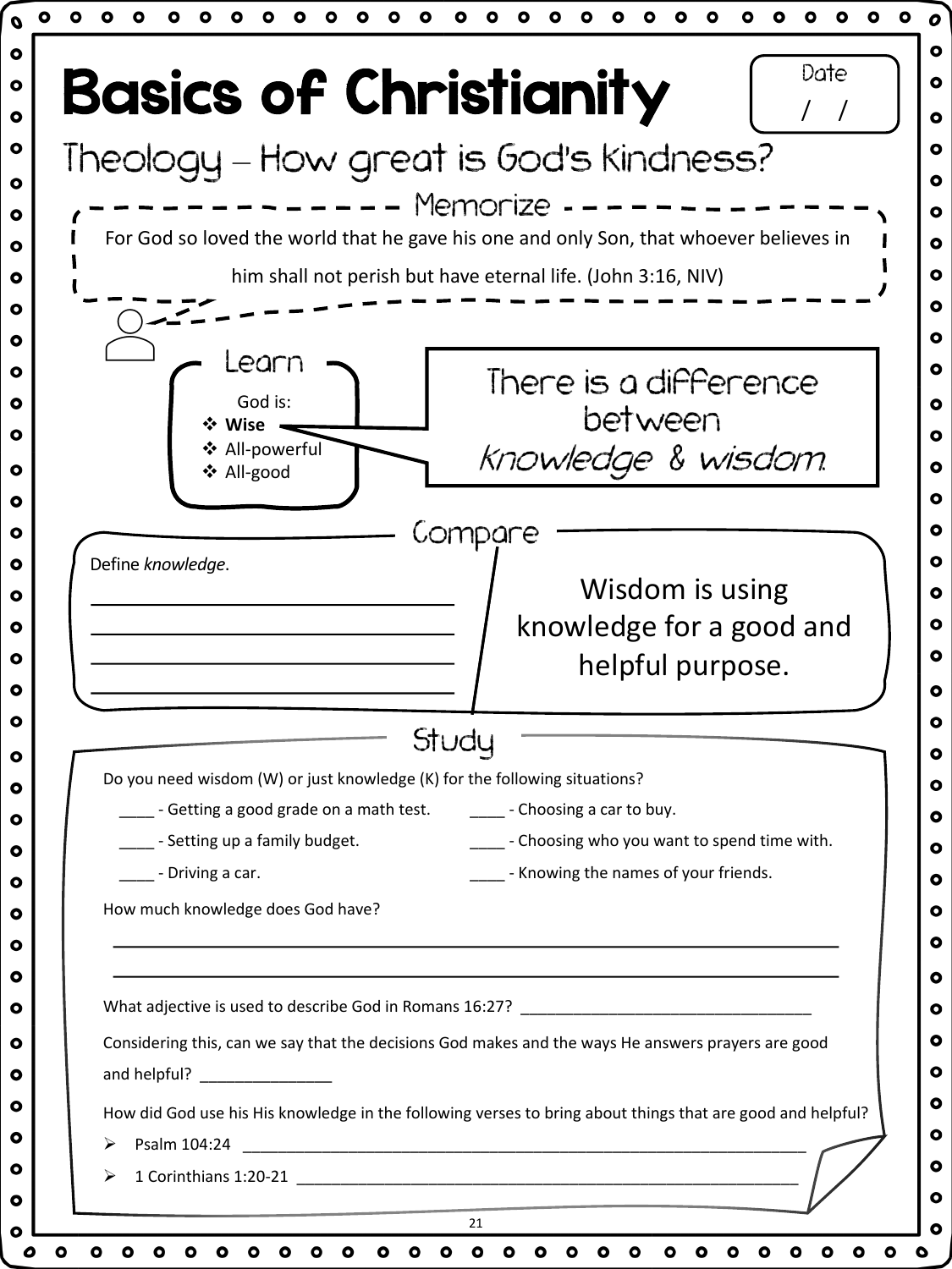| Theology - How great is God's kindness?                                                                                    |
|----------------------------------------------------------------------------------------------------------------------------|
| Memorize                                                                                                                   |
| For God so loved the world that he gave his one and only Son, that whoever believes in                                     |
| him shall not perish but have eternal life. (John 3:16, NIV)                                                               |
|                                                                                                                            |
| Learn                                                                                                                      |
| There is a difference<br>God is:                                                                                           |
| between<br>❖ Wise                                                                                                          |
| ❖ All-powerful<br>Knowledge & wisdom.<br>❖ All-good                                                                        |
|                                                                                                                            |
| Compare                                                                                                                    |
| Define knowledge.                                                                                                          |
| Wisdom is using                                                                                                            |
| knowledge for a good and                                                                                                   |
| helpful purpose.                                                                                                           |
| Study                                                                                                                      |
| Do you need wisdom (W) or just knowledge (K) for the following situations?                                                 |
| s - Getting a good grade on a math test.<br>_______ - Choosing a car to buy.                                               |
| - Choosing who you want to spend time with.<br>_- Setting up a family budget.                                              |
| _____ - Knowing the names of your friends.<br>- Driving a car.                                                             |
| How much knowledge does God have?                                                                                          |
|                                                                                                                            |
|                                                                                                                            |
|                                                                                                                            |
|                                                                                                                            |
| Considering this, can we say that the decisions God makes and the ways He answers prayers are good                         |
| and helpful? _________________                                                                                             |
| How did God use his His knowledge in the following verses to bring about things that are good and helpful?<br>Psalm 104:24 |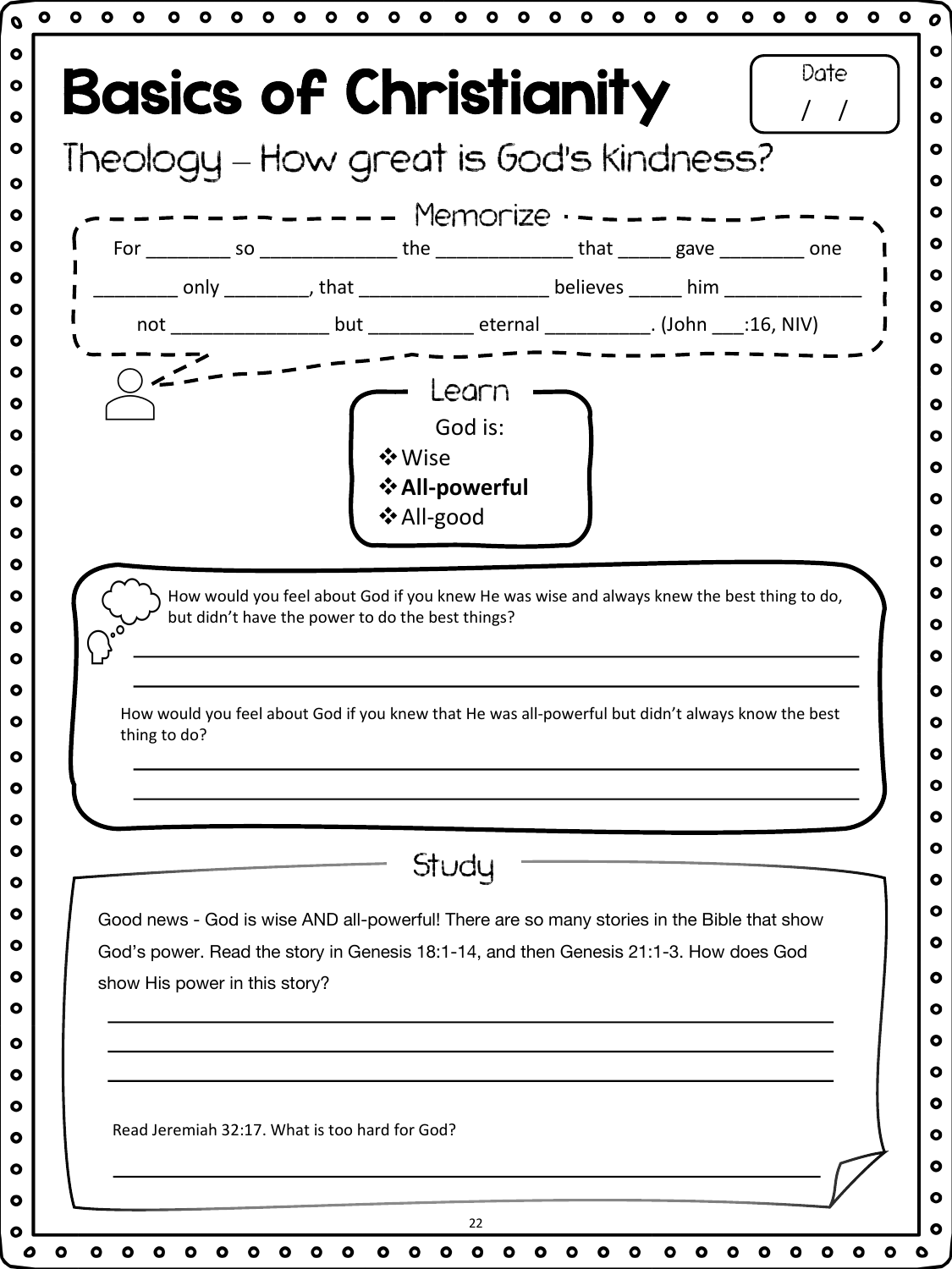|              |                               |                                                                                            |  | ________ only __________, that _______________________believes _______ him _________________________ |
|--------------|-------------------------------|--------------------------------------------------------------------------------------------|--|------------------------------------------------------------------------------------------------------|
|              |                               |                                                                                            |  |                                                                                                      |
|              |                               |                                                                                            |  |                                                                                                      |
|              |                               | Learn                                                                                      |  |                                                                                                      |
|              |                               | God is:<br>❖ Wise                                                                          |  |                                                                                                      |
|              |                               | ❖ All-powerful                                                                             |  |                                                                                                      |
|              |                               | ❖ All-good                                                                                 |  |                                                                                                      |
|              |                               |                                                                                            |  |                                                                                                      |
|              |                               |                                                                                            |  |                                                                                                      |
|              |                               |                                                                                            |  | How would you feel about God if you knew that He was all-powerful but didn't always know the best    |
| thing to do? |                               |                                                                                            |  |                                                                                                      |
|              |                               |                                                                                            |  |                                                                                                      |
|              |                               | Study                                                                                      |  |                                                                                                      |
|              |                               | Good news - God is wise AND all-powerful! There are so many stories in the Bible that show |  |                                                                                                      |
|              |                               | God's power. Read the story in Genesis 18:1-14, and then Genesis 21:1-3. How does God      |  |                                                                                                      |
|              | show His power in this story? |                                                                                            |  |                                                                                                      |
|              |                               |                                                                                            |  |                                                                                                      |
|              |                               |                                                                                            |  |                                                                                                      |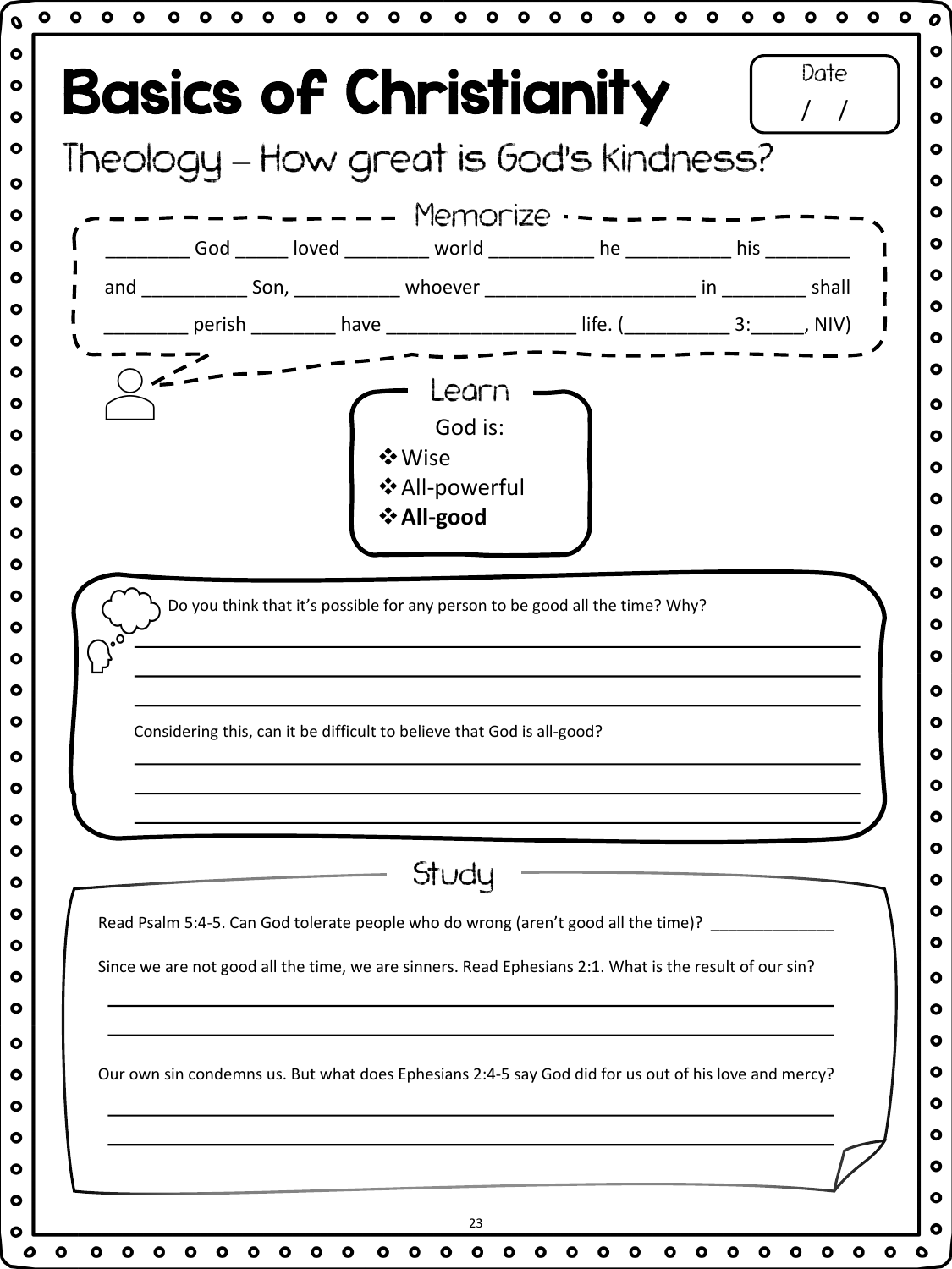